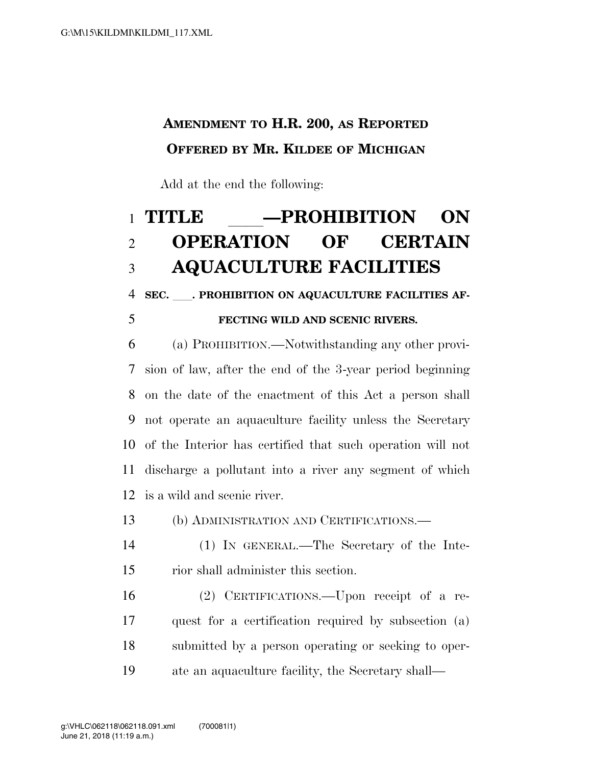## **AMENDMENT TO H.R. 200, AS REPORTED OFFERED BY MR. KILDEE OF MICHIGAN**

Add at the end the following:

## 1 TITLE \_\_\_\_\_**\_\_\_PROHIBITION** ON<br>2 OPERATION OF CERTAIN **OPERATION AQUACULTURE FACILITIES**

4 SEC. PROHIBITION ON AQUACULTURE FACILITIES AF-

## **FECTING WILD AND SCENIC RIVERS.**

 (a) PROHIBITION.—Notwithstanding any other provi- sion of law, after the end of the 3-year period beginning on the date of the enactment of this Act a person shall not operate an aquaculture facility unless the Secretary of the Interior has certified that such operation will not discharge a pollutant into a river any segment of which is a wild and scenic river.

(b) ADMINISTRATION AND CERTIFICATIONS.—

- (1) IN GENERAL.—The Secretary of the Inte-rior shall administer this section.
- (2) CERTIFICATIONS.—Upon receipt of a re- quest for a certification required by subsection (a) submitted by a person operating or seeking to oper-ate an aquaculture facility, the Secretary shall—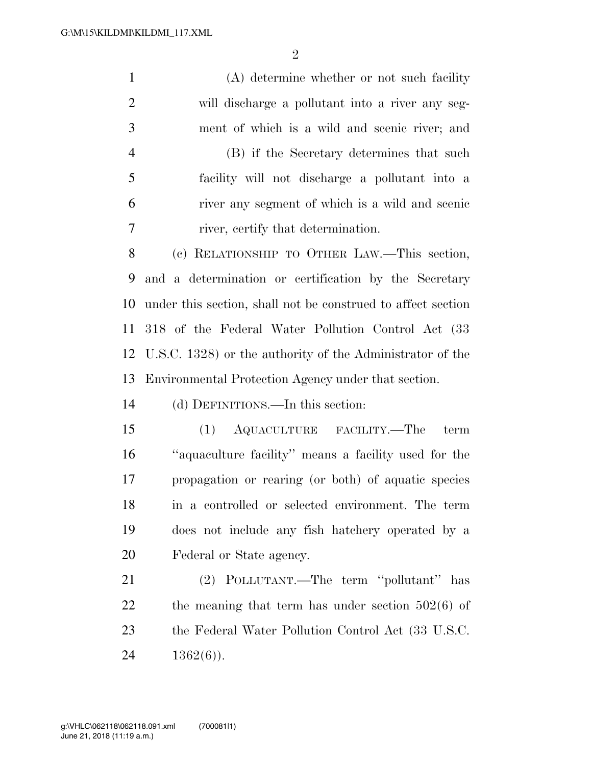(A) determine whether or not such facility will discharge a pollutant into a river any seg- ment of which is a wild and scenic river; and (B) if the Secretary determines that such facility will not discharge a pollutant into a river any segment of which is a wild and scenic river, certify that determination. (c) RELATIONSHIP TO OTHER LAW.—This section, and a determination or certification by the Secretary under this section, shall not be construed to affect section 318 of the Federal Water Pollution Control Act (33 U.S.C. 1328) or the authority of the Administrator of the Environmental Protection Agency under that section. (d) DEFINITIONS.—In this section: (1) AQUACULTURE FACILITY.—The term ''aquaculture facility'' means a facility used for the propagation or rearing (or both) of aquatic species in a controlled or selected environment. The term does not include any fish hatchery operated by a Federal or State agency. (2) POLLUTANT.—The term ''pollutant'' has 22 the meaning that term has under section  $502(6)$  of the Federal Water Pollution Control Act (33 U.S.C.  $1362(6)$ ).